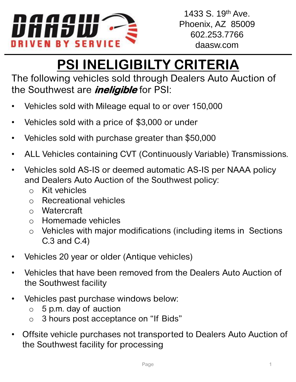

## **PSI INELIGIBILTY CRITERIA**

The following vehicles sold through Dealers Auto Auction of the Southwest are **ineligible** for PSI:

- Vehicles sold with Mileage equal to or over 150,000
- Vehicles sold with a price of \$3,000 or under
- Vehicles sold with purchase greater than \$50,000
- ALL Vehicles containing CVT (Continuously Variable) Transmissions.
- Vehicles sold AS-IS or deemed automatic AS-IS per NAAA policy and Dealers Auto Auction of the Southwest policy:
	- o Kit vehicles
	- o Recreational vehicles
	- o Watercraft
	- o Homemade vehicles
	- o Vehicles with major modifications (including items in Sections C.3 and C.4)
- Vehicles 20 year or older (Antique vehicles)
- Vehicles that have been removed from the Dealers Auto Auction of the Southwest facility
- Vehicles past purchase windows below:
	- $\circ$  5 p.m. day of auction
	- o 3 hours post acceptance on "If Bids"
- Offsite vehicle purchases not transported to Dealers Auto Auction of the Southwest facility for processing